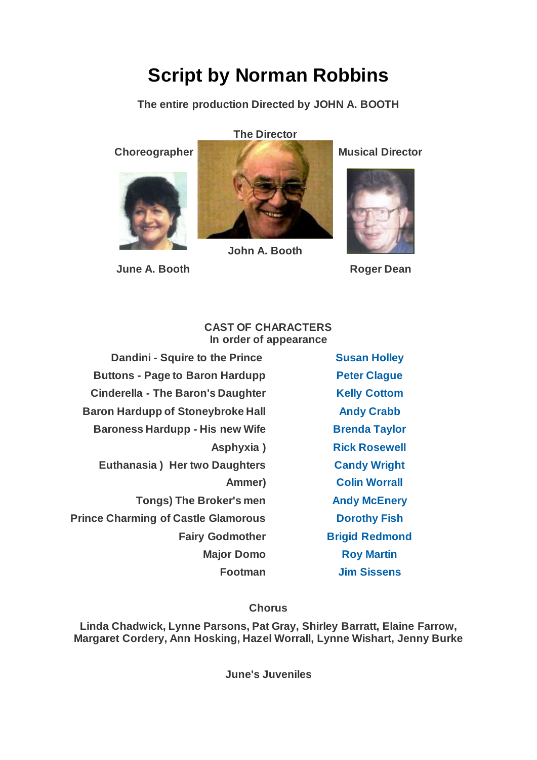# **Script by Norman Robbins**

**The entire production Directed by JOHN A. BOOTH**



**June A. Booth Roger Dean** 

## **The Director**

**Choreographer Musical Director** 



### **CAST OF CHARACTERS In order of appearance**

**John A. Booth**

**Dandini - Squire to the Prince [Susan Holley](https://www.carelinetheatre.com/pastprods/cinderella2.php#Susan) Buttons - Page to Baron Hardupp [Peter Clague](https://www.carelinetheatre.com/pastprods/cinderella2.php#Peter) Cinderella - The Baron's Daughter [Kelly Cottom](https://www.carelinetheatre.com/pastprods/cinderella2.php#Kelly) Baron Hardupp of Stoneybroke Hall <b>[Andy Crabb](https://www.carelinetheatre.com/pastprods/cinderella2.php#Andy) Baroness Hardupp - His new Wife [Brenda Taylor](https://www.carelinetheatre.com/pastprods/cinderella2.php#Brenda) Euthanasia ) Her two Daughters [Candy Wright](https://www.carelinetheatre.com/pastprods/cinderella2.php#Candy) Tongs) The Broker's men [Andy McEnery](https://www.carelinetheatre.com/pastprods/cinderella2.php#Andy) Prince Charming of Castle Glamorous [Dorothy Fish](https://www.carelinetheatre.com/pastprods/cinderella2.php#Dorothy) Fairy Godmother [Brigid Redmond](https://www.carelinetheatre.com/pastprods/cinderella2.php#Brigid)** 

**Asphyxia ) [Rick Rosewell](https://www.carelinetheatre.com/pastprods/cinderella2.php#Rick) Ammer) [Colin Worrall](https://www.carelinetheatre.com/pastprods/cinderella2.php#Colin) Major Domo [Roy Martin](https://www.carelinetheatre.com/pastprods/cinderella2.php#Roy) Footman [Jim Sissens](https://www.carelinetheatre.com/pastprods/cinderella2.php#Jim)**

# **Chorus**

**Linda Chadwick, Lynne Parsons, Pat Gray, Shirley Barratt, Elaine Farrow, Margaret Cordery, Ann Hosking, Hazel Worrall, Lynne Wishart, Jenny Burke**

**June's Juveniles**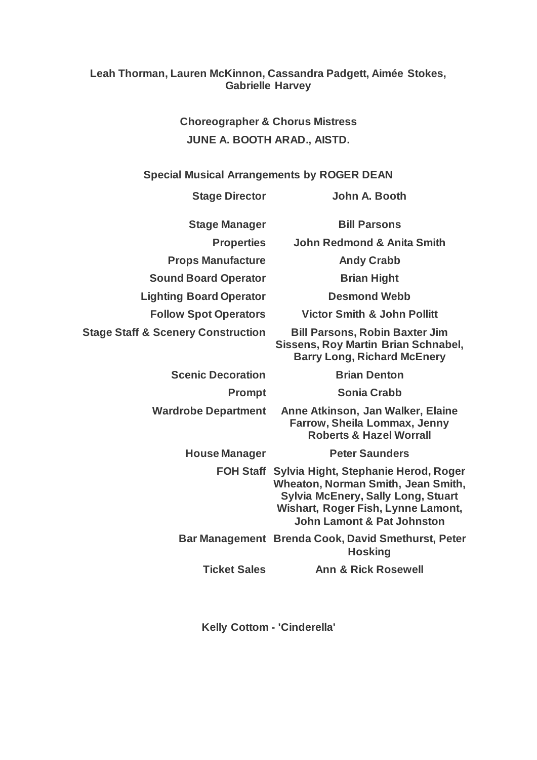## **Leah Thorman, Lauren McKinnon, Cassandra Padgett, Aimée Stokes, Gabrielle Harvey**

**Choreographer & Chorus Mistress JUNE A. BOOTH ARAD., AISTD.**

**Special Musical Arrangements by ROGER DEAN**

**Stage Director John A. Booth**

**Props Manufacture Mandy Crabb Sound Board Operator <b>Brian Hight** 

**Lighting Board Operator Desmond Webb**

**Stage Staff & Scenery Construction Bill Parsons, Robin Baxter Jim** 

**Scenic Decoration Brian Denton** 

**Stage Manager Bill Parsons**

**Properties John Redmond & Anita Smith**

**Follow Spot Operators Victor Smith & John Pollitt**

**Sissens, Roy Martin Brian Schnabel, Barry Long, Richard McEnery**

**Prompt Sonia Crabb**

**Wardrobe Department Anne Atkinson, Jan Walker, Elaine Farrow, Sheila Lommax, Jenny Roberts & Hazel Worrall**

**House Manager Peter Saunders**

**FOH Staff Sylvia Hight, Stephanie Herod, Roger Wheaton, Norman Smith, Jean Smith, Sylvia McEnery, Sally Long, Stuart Wishart, Roger Fish, Lynne Lamont, John Lamont & Pat Johnston**

**Bar Management Brenda Cook, David Smethurst, Peter Hosking**

**Ticket Sales Ann & Rick Rosewell**

**Kelly Cottom - 'Cinderella'**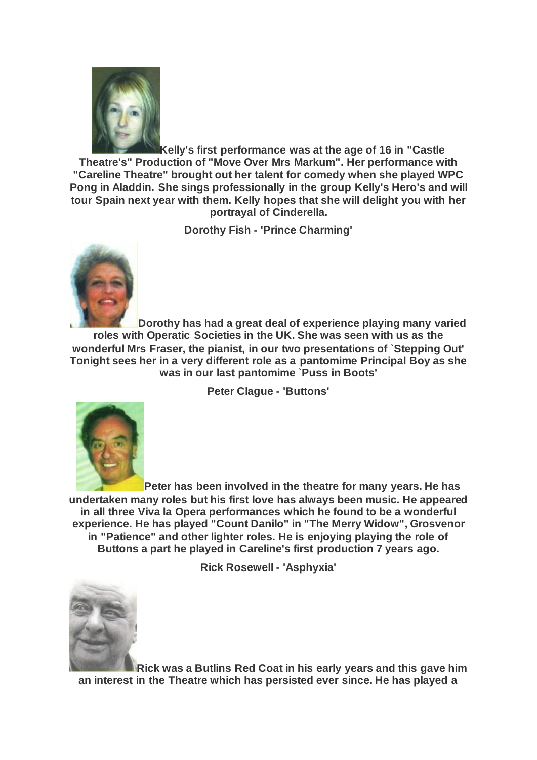

**Kelly's first performance was at the age of 16 in "Castle Theatre's" Production of "Move Over Mrs Markum". Her performance with "Careline Theatre" brought out her talent for comedy when she played WPC Pong in Aladdin. She sings professionally in the group Kelly's Hero's and will tour Spain next year with them. Kelly hopes that she will delight you with her portrayal of Cinderella.**

**Dorothy Fish - 'Prince Charming'**



**Dorothy has had a great deal of experience playing many varied roles with Operatic Societies in the UK. She was seen with us as the wonderful Mrs Fraser, the pianist, in our two presentations of `Stepping Out' Tonight sees her in a very different role as a pantomime Principal Boy as she was in our last pantomime `Puss in Boots'**

**Peter Clague - 'Buttons'**



**Peter has been involved in the theatre for many years. He has undertaken many roles but his first love has always been music. He appeared in all three Viva la Opera performances which he found to be a wonderful experience. He has played "Count Danilo" in "The Merry Widow", Grosvenor in "Patience" and other lighter roles. He is enjoying playing the role of Buttons a part he played in Careline's first production 7 years ago.**

**Rick Rosewell - 'Asphyxia'**



**Rick was a Butlins Red Coat in his early years and this gave him an interest in the Theatre which has persisted ever since. He has played a**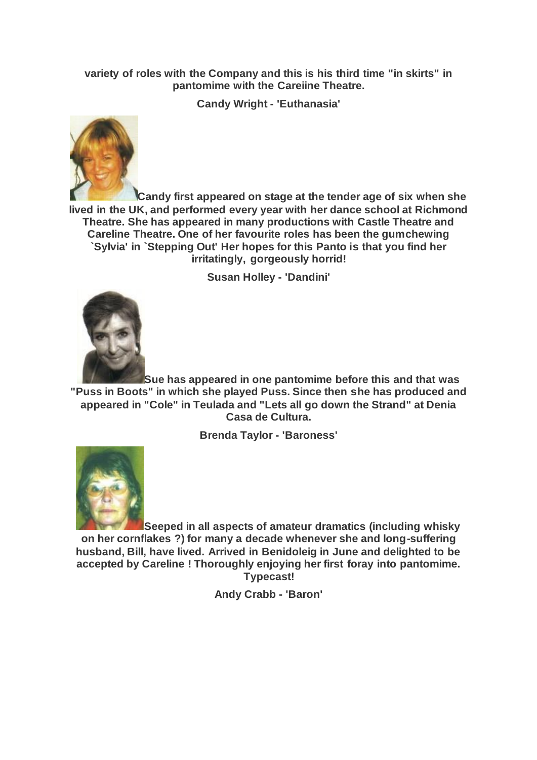#### **variety of roles with the Company and this is his third time "in skirts" in pantomime with the Careiine Theatre.**

**Candy Wright - 'Euthanasia'**



**Candy first appeared on stage at the tender age of six when she lived in the UK, and performed every year with her dance school at Richmond Theatre. She has appeared in many productions with Castle Theatre and Careline Theatre. One of her favourite roles has been the gumchewing `Sylvia' in `Stepping Out' Her hopes for this Panto is that you find her irritatingly, gorgeously horrid!**

**Susan Holley - 'Dandini'**



**Sue has appeared in one pantomime before this and that was "Puss in Boots" in which she played Puss. Since then she has produced and appeared in "Cole" in Teulada and "Lets all go down the Strand" at Denia Casa de Cultura.**

**Brenda Taylor - 'Baroness'**



**Seeped in all aspects of amateur dramatics (including whisky on her cornflakes ?) for many a decade whenever she and long-suffering husband, Bill, have lived. Arrived in Benidoleig in June and delighted to be accepted by Careline ! Thoroughly enjoying her first foray into pantomime. Typecast!**

**Andy Crabb - 'Baron'**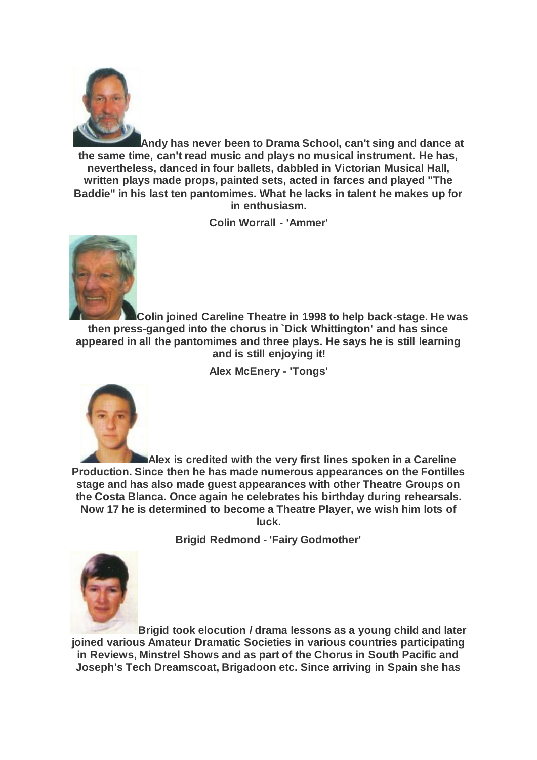

**Andy has never been to Drama School, can't sing and dance at the same time, can't read music and plays no musical instrument. He has, nevertheless, danced in four ballets, dabbled in Victorian Musical Hall, written plays made props, painted sets, acted in farces and played "The Baddie" in his last ten pantomimes. What he lacks in talent he makes up for in enthusiasm.**

**Colin Worrall - 'Ammer'**



**Colin joined Careline Theatre in 1998 to help back-stage. He was then press-ganged into the chorus in `Dick Whittington' and has since appeared in all the pantomimes and three plays. He says he is still learning and is still enjoying it!**

**Alex McEnery - 'Tongs'**



**Alex is credited with the very first lines spoken in a Careline Production. Since then he has made numerous appearances on the Fontilles stage and has also made guest appearances with other Theatre Groups on the Costa Blanca. Once again he celebrates his birthday during rehearsals. Now 17 he is determined to become a Theatre Player, we wish him lots of luck.**

**Brigid Redmond - 'Fairy Godmother'**



**Brigid took elocution / drama lessons as a young child and later joined various Amateur Dramatic Societies in various countries participating in Reviews, Minstrel Shows and as part of the Chorus in South Pacific and Joseph's Tech Dreamscoat, Brigadoon etc. Since arriving in Spain she has**